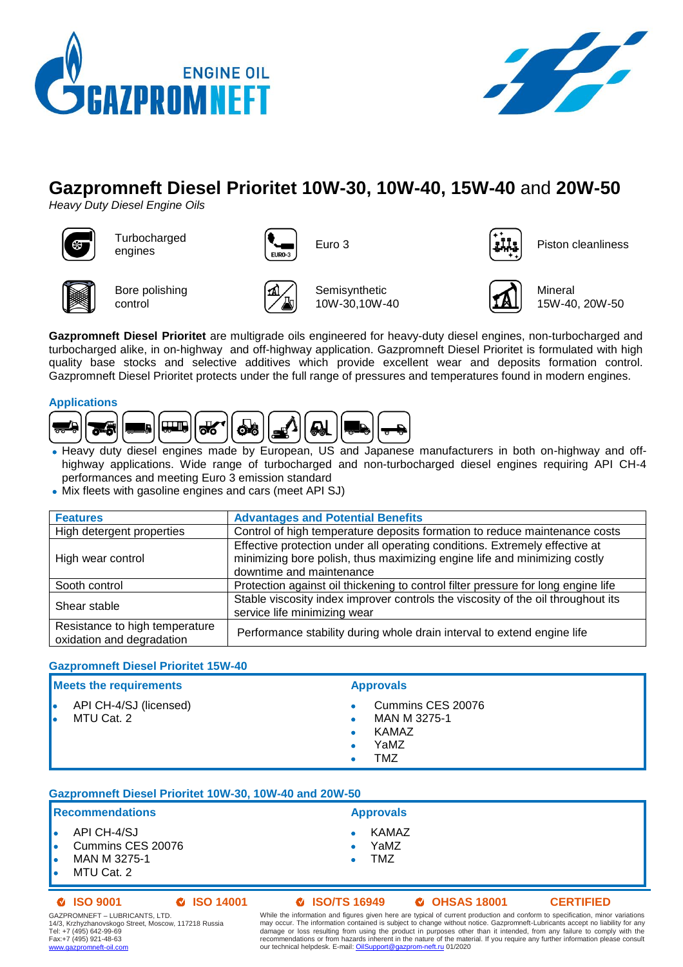



# **Gazpromneft Diesel Prioritet 10W-30, 10W-40, 15W-40** and **20W-50**

*Heavy Duty Diesel Engine Oils*



**Turbocharged** engines ( $\begin{bmatrix} \begin{matrix} 1 & 0 \\ 0 & 1 \end{matrix} \end{bmatrix}$  Euro 3 Piston cleanliness  $\begin{bmatrix} 1 & 0 \\ 0 & 1 \end{bmatrix}$ 







Bore polishing control



Semisynthetic 10W-30,10W-40



Mineral 15W-40, 20W-50

**Gazpromneft Diesel Prioritet** are multigrade oils engineered for heavy-duty diesel engines, non-turbocharged and turbocharged alike, in on-highway and off-highway application. Gazpromneft Diesel Prioritet is formulated with high quality base stocks and selective additives which provide excellent wear and deposits formation control. Gazpromneft Diesel Prioritet protects under the full range of pressures and temperatures found in modern engines.

## **Applications**



- Heavy duty diesel engines made by European, US and Japanese manufacturers in both on-highway and offhighway applications. Wide range of turbocharged and non-turbocharged diesel engines requiring API CH-4 performances and meeting Euro 3 emission standard
- Mix fleets with gasoline engines and cars (meet API SJ)

| <b>Features</b>                                             | <b>Advantages and Potential Benefits</b>                                                                                                                                             |  |  |  |
|-------------------------------------------------------------|--------------------------------------------------------------------------------------------------------------------------------------------------------------------------------------|--|--|--|
| High detergent properties                                   | Control of high temperature deposits formation to reduce maintenance costs                                                                                                           |  |  |  |
| High wear control                                           | Effective protection under all operating conditions. Extremely effective at<br>minimizing bore polish, thus maximizing engine life and minimizing costly<br>downtime and maintenance |  |  |  |
| Sooth control                                               | Protection against oil thickening to control filter pressure for long engine life                                                                                                    |  |  |  |
| Shear stable                                                | Stable viscosity index improver controls the viscosity of the oil throughout its<br>service life minimizing wear                                                                     |  |  |  |
| Resistance to high temperature<br>oxidation and degradation | Performance stability during whole drain interval to extend engine life                                                                                                              |  |  |  |

### **Gazpromneft Diesel Prioritet 15W-40**

| <b>Meets the requirements</b>        | <b>Approvals</b>                                          |  |  |
|--------------------------------------|-----------------------------------------------------------|--|--|
| API CH-4/SJ (licensed)<br>MTU Cat. 2 | Cummins CES 20076<br>MAN M 3275-1<br>KAMAZ<br>YaMZ<br>TMZ |  |  |
|                                      |                                                           |  |  |

# **Gazpromneft Diesel Prioritet 10W-30, 10W-40 and 20W-50**

# **Recommendations Approvals**

- API CH-4/SJ
- Cummins CES 20076
- MAN M 3275-1
- MTU Cat. 2

# **ISO 9001 ISO 14001 ISO/TS 16949 OHSAS 18001 CERTIFIED**

**KAMAZ**  YaMZ TMZ

GAZPROMNEFT – LUBRICANTS, LTD. 14/3, Krzhyzhanovskogo Street, Moscow, 117218 Russia Tel: +7 (495) 642-99-69 Fax:+7 (495) 921-48-63 [www.gazpromneft-oil.com](http://www.gazpromneft-oil.com/)

While the information and figures given here are typical of current production and conform to specification, minor variations may occur. The information contained is subject to change without notice. Gazpromneft-Lubricants accept no liability for any<br>damage or loss resulting from using the product in purposes other than it intended, from any fail our technical helpdesk. E-mail[: OilSupport@gazprom-neft.ru](mailto:OilSupport@gazprom-neft.ru) 01/2020